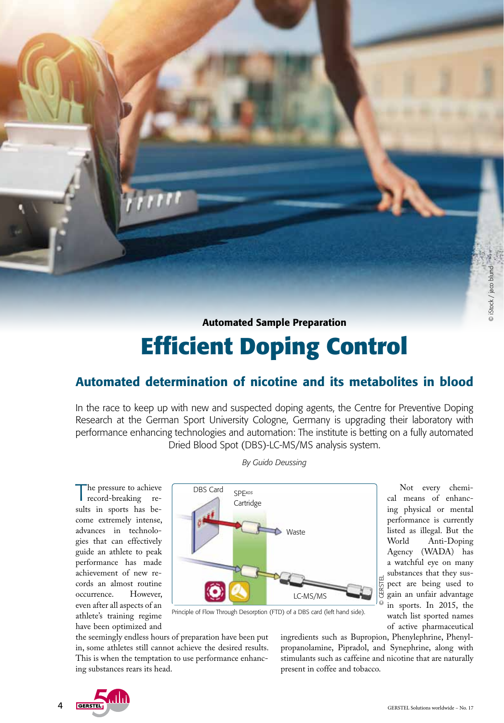Automated Sample Preparation

# **Efficient Doping Control**

## Automated determination of nicotine and its metabolites in blood

In the race to keep up with new and suspected doping agents, the Centre for Preventive Doping Research at the German Sport University Cologne, Germany is upgrading their laboratory with performance enhancing technologies and automation: The institute is betting on a fully automated Dried Blood Spot (DBS)-LC-MS/MS analysis system.

*By Guido Deussing*

The pressure to achieve record-breaking results in sports has become extremely intense, advances in technologies that can effectively guide an athlete to peak performance has made achievement of new records an almost routine<br>occurrence. However. occurrence. even after all aspects of an athlete's training regime have been optimized and



Not every chemical means of enhancing physical or mental performance is currently listed as illegal. But the Anti-Doping Agency (WADA) has a watchful eye on many substances that they sus-**GERSTEL** © GERSTEL pect are being used to gain an unfair advantage in sports. In 2015, the watch list sported names of active pharmaceutical

Principle of Flow Through Desorption (FTD) of a DBS card (left hand side).

the seemingly endless hours of preparation have been put in, some athletes still cannot achieve the desired results. This is when the temptation to use performance enhancing substances rears its head.

ingredients such as Bupropion, Phenylephrine, Phenylpropanolamine, Pipradol, and Synephrine, along with stimulants such as caffeine and nicotine that are naturally present in coffee and tobacco.

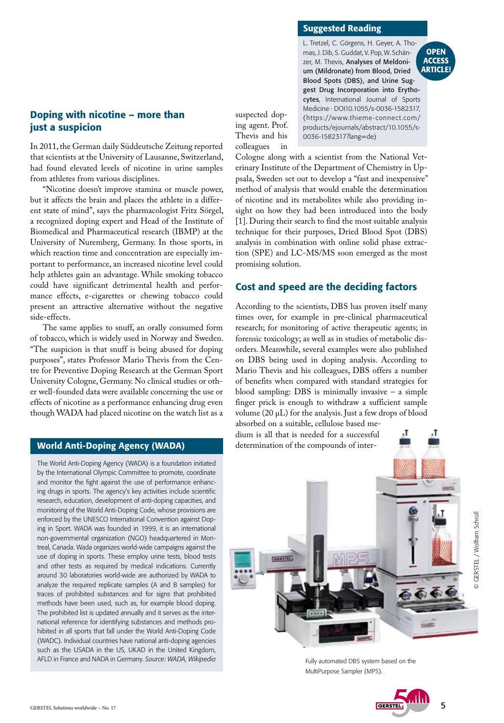## Doping with nicotine – more than just a suspicion

In 2011, the German daily Süddeutsche Zeitung reported that scientists at the University of Lausanne, Switzerland, had found elevated levels of nicotine in urine samples from athletes from various disciplines.

"Nicotine doesn't improve stamina or muscle power, but it affects the brain and places the athlete in a different state of mind", says the pharmacologist Fritz Sörgel, a recognized doping expert and Head of the Institute of Biomedical and Pharmaceutical research (IBMP) at the University of Nuremberg, Germany. In those sports, in which reaction time and concentration are especially important to performance, an increased nicotine level could help athletes gain an advantage. While smoking tobacco could have significant detrimental health and performance effects, e-cigarettes or chewing tobacco could present an attractive alternative without the negative side-effects.

The same applies to snuff, an orally consumed form of tobacco, which is widely used in Norway and Sweden. "The suspicion is that snuff is being abused for doping purposes", states Professor Mario Thevis from the Centre for Preventive Doping Research at the German Sport University Cologne, Germany. No clinical studies or other well-founded data were available concerning the use or effects of nicotine as a performance enhancing drug even though WADA had placed nicotine on the watch list as a

### World Anti-Doping Agency (WADA)

The World Anti-Doping Agency (WADA) is a foundation initiated by the [International Olympic Committee](https://en.wikipedia.org/wiki/International_Olympic_Committee) to promote, coordinate and monitor the fight against the use of performance enhancing drugs in sports. The agency's key activities include scientific research, education, development of anti-doping capacities, and monitoring of the World Anti-Doping Code, whose provisions are enforced by the UNESCO International Convention against Doping in Sport. WADA was founded in 1999, it is an international non-governmental organization (NGO) headquartered in Montreal, Canada. Wada organizes world-wide campaigns against the use of doping in sports. These employ urine tests, blood tests and other tests as required by medical indications. Currently around 30 laboratories world-wide are authorized by WADA to analyze the required replicate samples (A and B samples) for traces of prohibited substances and for signs that prohibited methods have been used, such as, for example blood doping. The prohibited list is updated annually and it serves as the international reference for identifying substances and methods prohibited in all sports that fall under the World Anti-Doping Code (WADC). Individual countries have national anti-doping agencies such as the USADA in the US, UKAD in the United Kingdom, AFLD in France and NADA in Germany. *Source: WADA, Wikipedia*

#### Suggested Reading

L. Tretzel, C. Görgens, H. Geyer, A. Thomas, J. Dib, S. Guddat, V. Pop, W. Schänzer, M. Thevis, Analyses of Meldonium (Mildronate) from Blood, Dried Blood Spots (DBS), and Urine Suggest Drug Incorporation into Erytho-Medicine · DOI10.1055/s-0036-1582317, (https://www.thieme-connect.com/ products/ejournals/abstract/10.1055/s-0036-1582317?lang=de)



suspected doping agent. Prof. Thevis and his colleagues in cytes, International Journal of Sports

Cologne along with a scientist from the National Veterinary Institute of the Department of Chemistry in Uppsala, Sweden set out to develop a "fast and inexpensive" method of analysis that would enable the determination of nicotine and its metabolites while also providing insight on how they had been introduced into the body [1]. During their search to find the most suitable analysis technique for their purposes, Dried Blood Spot (DBS) analysis in combination with online solid phase extraction (SPE) and LC-MS/MS soon emerged as the most promising solution.

## Cost and speed are the deciding factors

According to the scientists, DBS has proven itself many times over, for example in pre-clinical pharmaceutical research; for monitoring of active therapeutic agents; in forensic toxicology; as well as in studies of metabolic disorders. Meanwhile, several examples were also published on DBS being used in doping analysis. According to Mario Thevis and his colleagues, DBS offers a number of benefits when compared with standard strategies for blood sampling: DBS is minimally invasive  $-$  a simple finger prick is enough to withdraw a sufficient sample volume  $(20 \mu L)$  for the analysis. Just a few drops of blood

absorbed on a suitable, cellulose based medium is all that is needed for a successful determination of the compounds of inter-



Fully automated DBS system based on the MultiPurpose Sampler (MPS).